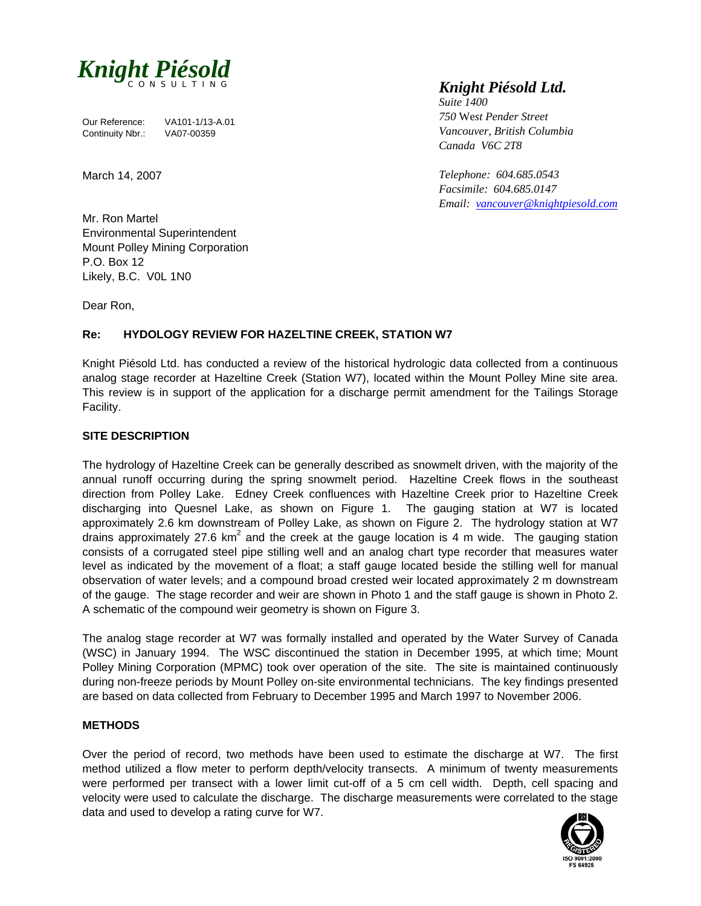

Our Reference: VA101-1/13-A.01<br>Continuity Nbr.: VA07-00359 Continuity Nbr.:

March 14, 2007

# *Knight Piésold Ltd.*

*Suite 1400 750* We*st Pender Street Vancouver, British Columbia Canada V6C 2T8* 

*Telephone: 604.685.0543 Facsimile: 604.685.0147 Email: vancouver@knightpiesold.com*

Mr. Ron Martel Environmental Superintendent Mount Polley Mining Corporation P.O. Box 12 Likely, B.C. V0L 1N0

Dear Ron,

## **Re: HYDOLOGY REVIEW FOR HAZELTINE CREEK, STATION W7**

Knight Piésold Ltd. has conducted a review of the historical hydrologic data collected from a continuous analog stage recorder at Hazeltine Creek (Station W7), located within the Mount Polley Mine site area. This review is in support of the application for a discharge permit amendment for the Tailings Storage Facility.

## **SITE DESCRIPTION**

The hydrology of Hazeltine Creek can be generally described as snowmelt driven, with the majority of the annual runoff occurring during the spring snowmelt period. Hazeltine Creek flows in the southeast direction from Polley Lake. Edney Creek confluences with Hazeltine Creek prior to Hazeltine Creek discharging into Quesnel Lake, as shown on Figure 1. The gauging station at W7 is located approximately 2.6 km downstream of Polley Lake, as shown on Figure 2. The hydrology station at W7 drains approximately 27.6 km<sup>2</sup> and the creek at the gauge location is 4 m wide. The gauging station consists of a corrugated steel pipe stilling well and an analog chart type recorder that measures water level as indicated by the movement of a float; a staff gauge located beside the stilling well for manual observation of water levels; and a compound broad crested weir located approximately 2 m downstream of the gauge. The stage recorder and weir are shown in Photo 1 and the staff gauge is shown in Photo 2. A schematic of the compound weir geometry is shown on Figure 3.

The analog stage recorder at W7 was formally installed and operated by the Water Survey of Canada (WSC) in January 1994. The WSC discontinued the station in December 1995, at which time; Mount Polley Mining Corporation (MPMC) took over operation of the site. The site is maintained continuously during non-freeze periods by Mount Polley on-site environmental technicians. The key findings presented are based on data collected from February to December 1995 and March 1997 to November 2006.

#### **METHODS**

Over the period of record, two methods have been used to estimate the discharge at W7. The first method utilized a flow meter to perform depth/velocity transects. A minimum of twenty measurements were performed per transect with a lower limit cut-off of a 5 cm cell width. Depth, cell spacing and velocity were used to calculate the discharge. The discharge measurements were correlated to the stage data and used to develop a rating curve for W7.

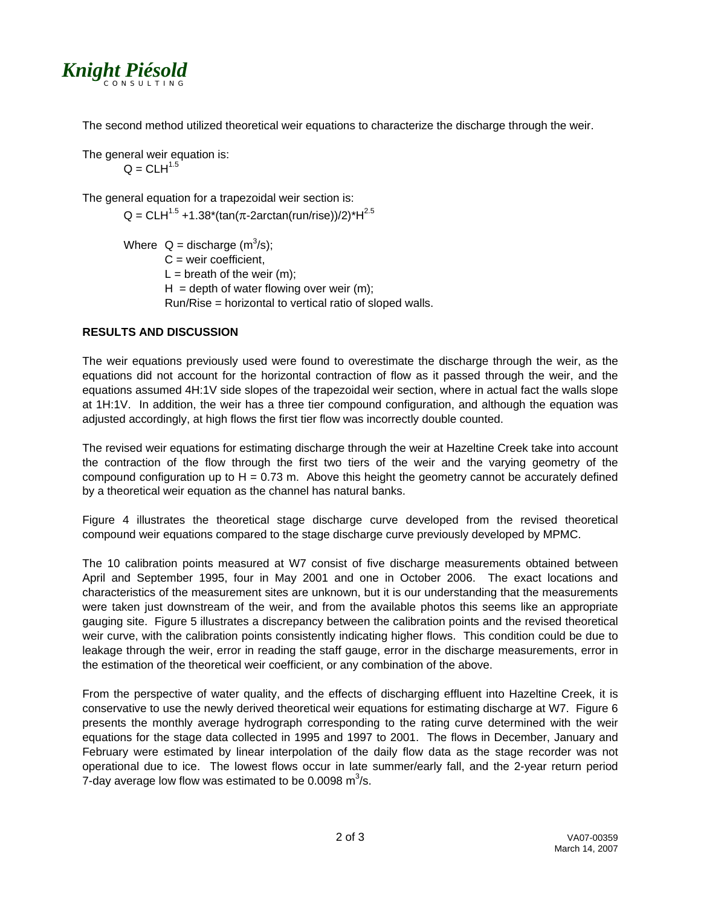

The second method utilized theoretical weir equations to characterize the discharge through the weir.

The general weir equation is:  $Q = CLH^{1.5}$ 

The general equation for a trapezoidal weir section is:

 $Q = CLH^{1.5} + 1.38*(tan(\pi - 2arctan(run/rise))/2)*H^{2.5}$ 

Where  $Q =$  discharge  $(m^3/s)$ ;  $C =$  weir coefficient.  $L = b$  reath of the weir (m);  $H =$  depth of water flowing over weir (m); Run/Rise = horizontal to vertical ratio of sloped walls.

# **RESULTS AND DISCUSSION**

The weir equations previously used were found to overestimate the discharge through the weir, as the equations did not account for the horizontal contraction of flow as it passed through the weir, and the equations assumed 4H:1V side slopes of the trapezoidal weir section, where in actual fact the walls slope at 1H:1V. In addition, the weir has a three tier compound configuration, and although the equation was adjusted accordingly, at high flows the first tier flow was incorrectly double counted.

The revised weir equations for estimating discharge through the weir at Hazeltine Creek take into account the contraction of the flow through the first two tiers of the weir and the varying geometry of the compound configuration up to  $H = 0.73$  m. Above this height the geometry cannot be accurately defined by a theoretical weir equation as the channel has natural banks.

Figure 4 illustrates the theoretical stage discharge curve developed from the revised theoretical compound weir equations compared to the stage discharge curve previously developed by MPMC.

The 10 calibration points measured at W7 consist of five discharge measurements obtained between April and September 1995, four in May 2001 and one in October 2006. The exact locations and characteristics of the measurement sites are unknown, but it is our understanding that the measurements were taken just downstream of the weir, and from the available photos this seems like an appropriate gauging site. Figure 5 illustrates a discrepancy between the calibration points and the revised theoretical weir curve, with the calibration points consistently indicating higher flows. This condition could be due to leakage through the weir, error in reading the staff gauge, error in the discharge measurements, error in the estimation of the theoretical weir coefficient, or any combination of the above.

From the perspective of water quality, and the effects of discharging effluent into Hazeltine Creek, it is conservative to use the newly derived theoretical weir equations for estimating discharge at W7. Figure 6 presents the monthly average hydrograph corresponding to the rating curve determined with the weir equations for the stage data collected in 1995 and 1997 to 2001. The flows in December, January and February were estimated by linear interpolation of the daily flow data as the stage recorder was not operational due to ice. The lowest flows occur in late summer/early fall, and the 2-year return period 7-day average low flow was estimated to be 0.0098  $\text{m}^3\text{/s}$ .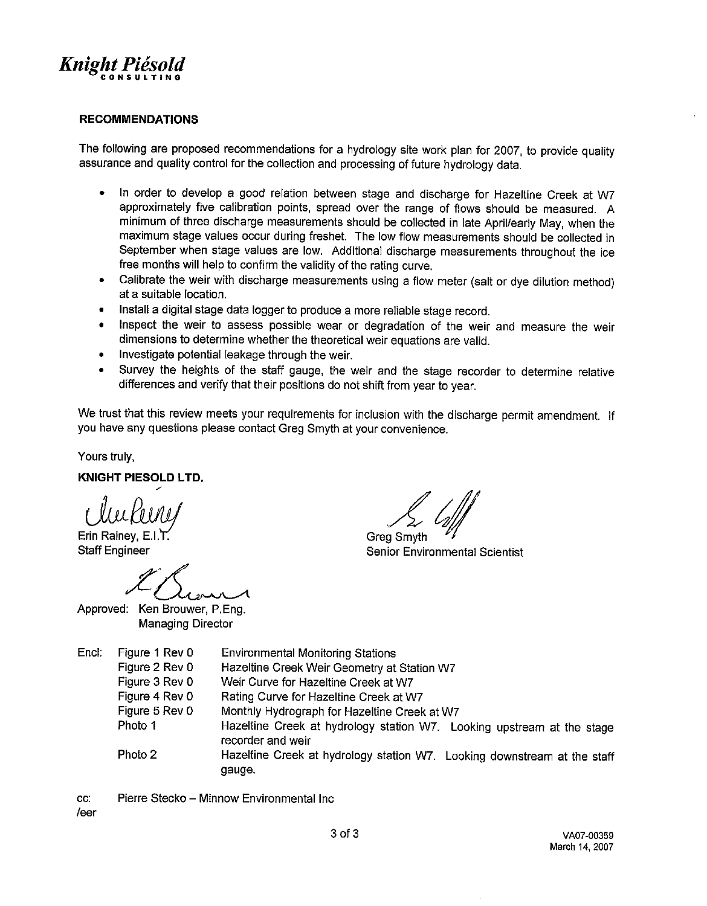

#### **RECOMMENDATIONS**

The following are proposed recommendations for a hydrology site work plan for 2007, to provide quality assurance and quality control for the collection and processing of future hydrology data.

- In order to develop a good relation between stage and discharge for Hazeltine Creek at W7  $\bullet$ approximately five calibration points, spread over the range of flows should be measured. A minimum of three discharge measurements should be collected in late April/early May, when the maximum stage values occur during freshet. The low flow measurements should be collected in September when stage values are low. Additional discharge measurements throughout the ice free months will help to confirm the validity of the rating curve.
- Calibrate the weir with discharge measurements using a flow meter (salt or dye dilution method)  $\bullet$ at a suitable location.
- Install a digital stage data logger to produce a more reliable stage record.
- Inspect the weir to assess possible wear or degradation of the weir and measure the weir dimensions to determine whether the theoretical weir equations are valid.
- Investigate potential leakage through the weir.  $\bullet$
- Survey the heights of the staff gauge, the weir and the stage recorder to determine relative  $\bullet$ differences and verify that their positions do not shift from year to year.

We trust that this review meets your requirements for inclusion with the discharge permit amendment. If you have any questions please contact Greg Smyth at your convenience.

Yours truly.

**KNIGHT PIESOLD LTD.** 

Erin Rainey, E.I.T. **Staff Engineer** 

Approved: Ken Brouwer, P.Eng. **Managing Director** 

**Grea Smyth Senior Environmental Scientist** 

| Encl. | Figure 1 Rev 0 | <b>Environmental Monitoring Stations</b>                                                    |
|-------|----------------|---------------------------------------------------------------------------------------------|
|       | Figure 2 Rev 0 | Hazeltine Creek Weir Geometry at Station W7                                                 |
|       | Figure 3 Rev 0 | Weir Curve for Hazeltine Creek at W7                                                        |
|       | Figure 4 Rev 0 | Rating Curve for Hazeltine Creek at W7                                                      |
|       | Figure 5 Rev 0 | Monthly Hydrograph for Hazeltine Creek at W7                                                |
|       | Photo 1        | Hazeltine Creek at hydrology station W7. Looking upstream at the stage<br>recorder and weir |
|       | Photo 2        | Hazeltine Creek at hydrology station W7. Looking downstream at the staff<br>gauge.          |

CC: Pierre Stecko - Minnow Environmental Inc. /eer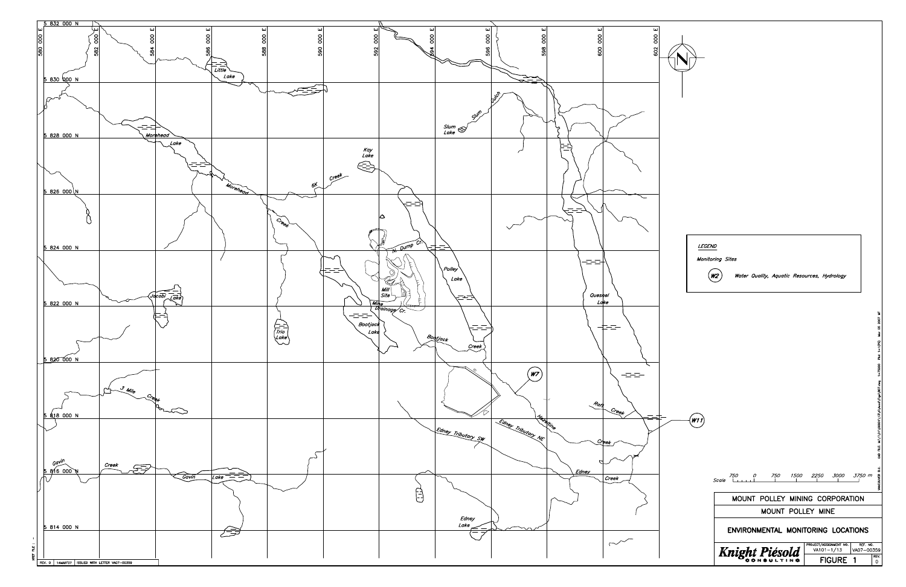

| <i><b>LEGEND</b></i> |                                                                                                      |                                                                 |
|----------------------|------------------------------------------------------------------------------------------------------|-----------------------------------------------------------------|
|                      | Monitoring Sites<br>Water Quality, Aquatic Resources, Hydrology<br>N.                                |                                                                 |
|                      |                                                                                                      | Mar 05 2007 MT                                                  |
|                      |                                                                                                      | (PS)                                                            |
|                      |                                                                                                      | CAD FILE: M:\1\01\00001\13\A\Acad\Figs\B07.dwg 1=75000 Plot 1=" |
| W1 i                 |                                                                                                      |                                                                 |
|                      |                                                                                                      |                                                                 |
|                      | 750<br>750<br>1500<br>2250<br>3000<br>0<br><b>Scale</b>                                              | VANCOUVER B.C.<br>3750 m<br>T                                   |
|                      | MOUNT POLLEY MINING CORPORATION                                                                      |                                                                 |
|                      | MOUNT POLLEY MINE                                                                                    |                                                                 |
|                      | ENVIRONMENTAL MONITORING LOCATIONS                                                                   |                                                                 |
|                      | PROJECT/ASSIGNMENT NO.<br><b>Knight Piéso</b><br>VA101-1/13<br><b>FIGURE</b><br>1<br>IN <sub>O</sub> | REF. NO.<br>VA07-00359<br>REV.<br>0                             |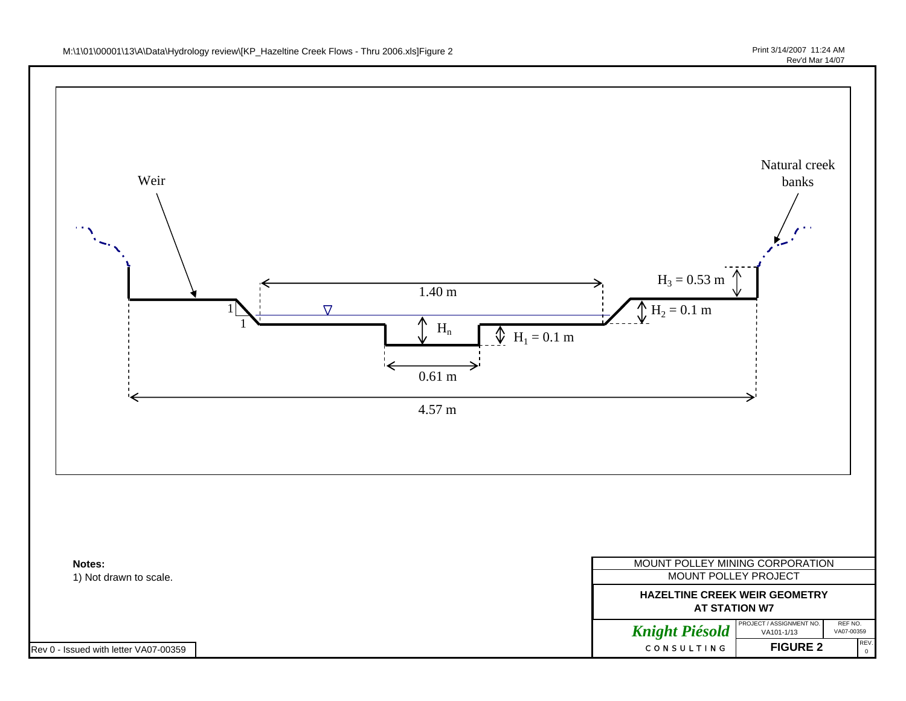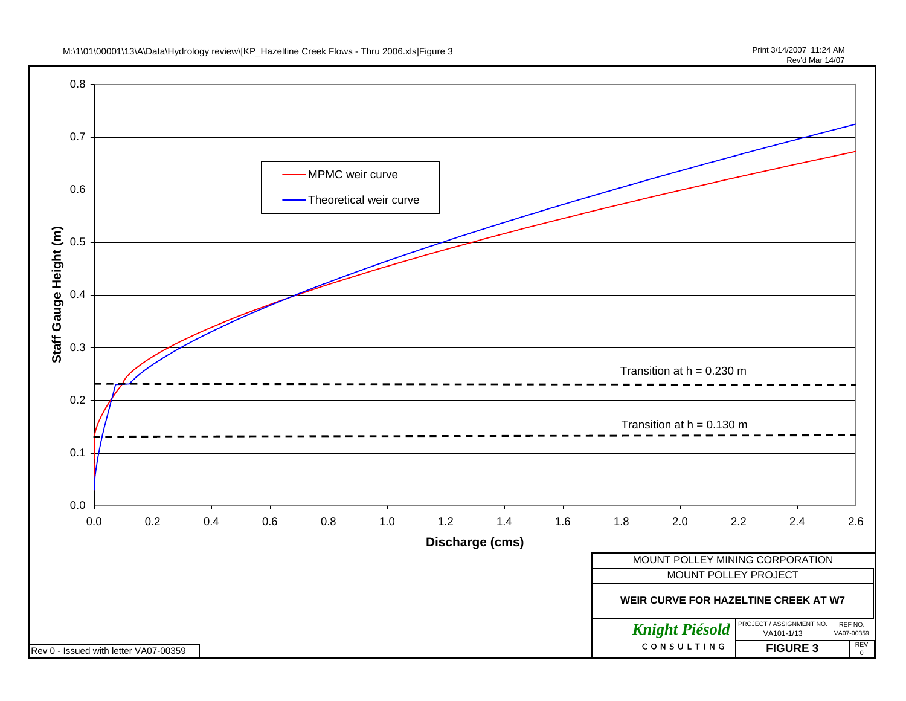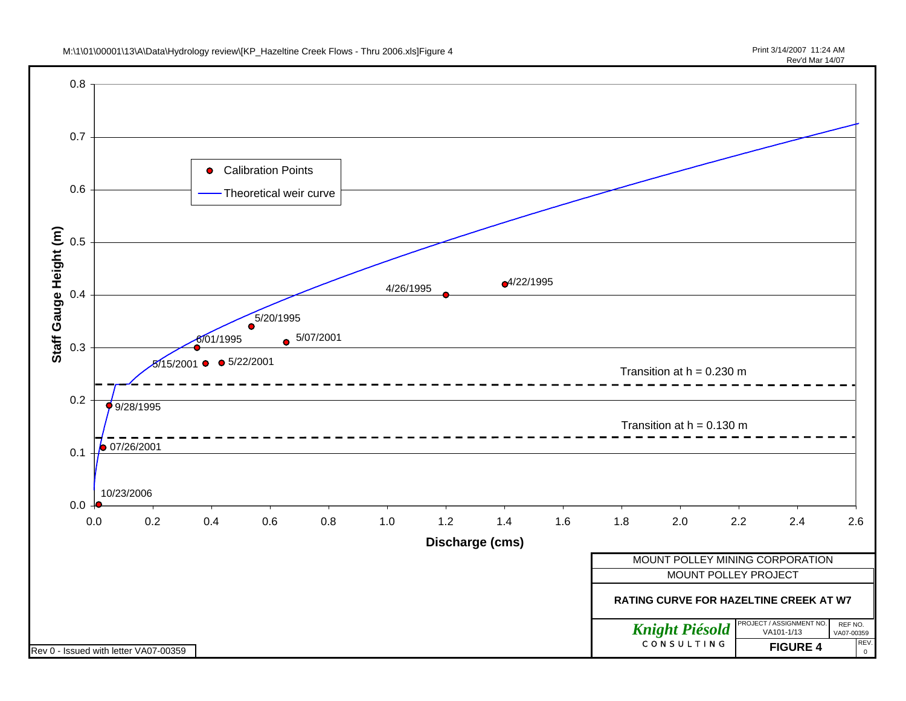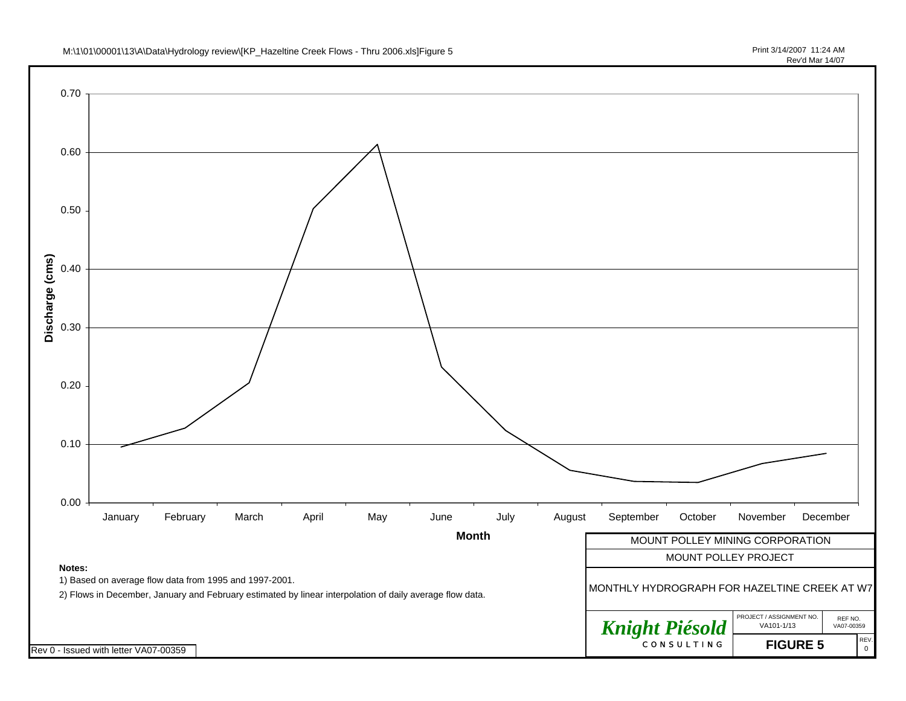